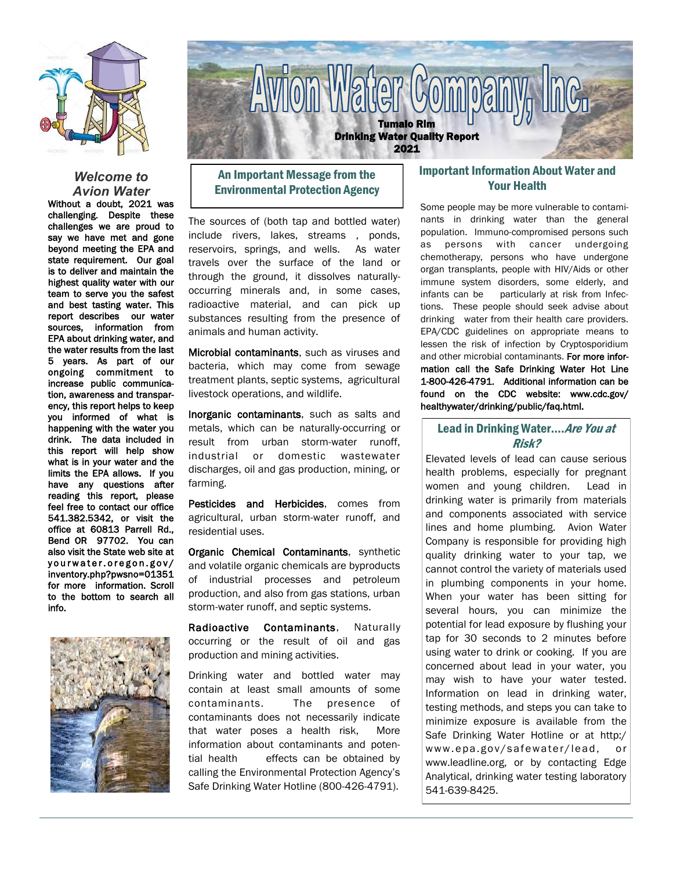

### *Welcome to Avion Water*

Without a doubt, 2021 was challenging. Despite these challenges we are proud to say we have met and gone beyond meeting the EPA and state requirement. Our goal is to deliver and maintain the highest quality water with our team to serve you the safest and best tasting water. This report describes our water sources, information from EPA about drinking water, and the water results from the last 5 years. As part of our ongoing commitment to increase public communication, awareness and transparency, this report helps to keep you informed of what is happening with the water you drink. The data included in this report will help show what is in your water and the limits the EPA allows. If you have any questions after reading this report, please feel free to contact our office 541.382.5342, or visit the office at 60813 Parrell Rd., Bend OR 97702. You can also visit the State web site at yourwater.oregon.gov/ inventory.php?pwsno=01351 for more information. Scroll to the bottom to search all info.





# An Important Message from the Environmental Protection Agency

The sources of (both tap and bottled water) include rivers, lakes, streams , ponds, reservoirs, springs, and wells. As water travels over the surface of the land or through the ground, it dissolves naturallyoccurring minerals and, in some cases, radioactive material, and can pick up substances resulting from the presence of animals and human activity.

Microbial contaminants, such as viruses and bacteria, which may come from sewage treatment plants, septic systems, agricultural livestock operations, and wildlife.

Inorganic contaminants, such as salts and metals, which can be naturally-occurring or result from urban storm-water runoff, industrial or domestic wastewater discharges, oil and gas production, mining, or farming.

Pesticides and Herbicides, comes from agricultural, urban storm-water runoff, and residential uses.

Organic Chemical Contaminants, synthetic and volatile organic chemicals are byproducts of industrial processes and petroleum production, and also from gas stations, urban storm-water runoff, and septic systems.

Radioactive Contaminants, Naturally occurring or the result of oil and gas production and mining activities.

Drinking water and bottled water may contain at least small amounts of some contaminants. The presence of contaminants does not necessarily indicate that water poses a health risk, More information about contaminants and potential health effects can be obtained by calling the Environmental Protection Agency's Safe Drinking Water Hotline (800-426-4791).

## Important Information About Water and Your Health

Some people may be more vulnerable to contaminants in drinking water than the general population. Immuno-compromised persons such as persons with cancer undergoing chemotherapy, persons who have undergone organ transplants, people with HIV/Aids or other immune system disorders, some elderly, and infants can be particularly at risk from Infections. These people should seek advise about drinking water from their health care providers. EPA/CDC guidelines on appropriate means to lessen the risk of infection by Cryptosporidium and other microbial contaminants. For more information call the Safe Drinking Water Hot Line 1-800-426-4791. Additional information can be found on the CDC website: www.cdc.gov/ healthywater/drinking/public/faq.html.

## Lead in Drinking Water.... Are You at Risk?

Elevated levels of lead can cause serious health problems, especially for pregnant women and young children. Lead in drinking water is primarily from materials and components associated with service lines and home plumbing. Avion Water Company is responsible for providing high quality drinking water to your tap, we cannot control the variety of materials used in plumbing components in your home. When your water has been sitting for several hours, you can minimize the potential for lead exposure by flushing your tap for 30 seconds to 2 minutes before using water to drink or cooking. If you are concerned about lead in your water, you may wish to have your water tested. Information on lead in drinking water, testing methods, and steps you can take to minimize exposure is available from the Safe Drinking Water Hotline or at http:/ www.epa.gov/safewater/lead, or www.leadline.org, or by contacting Edge Analytical, drinking water testing laboratory 541-639-8425.